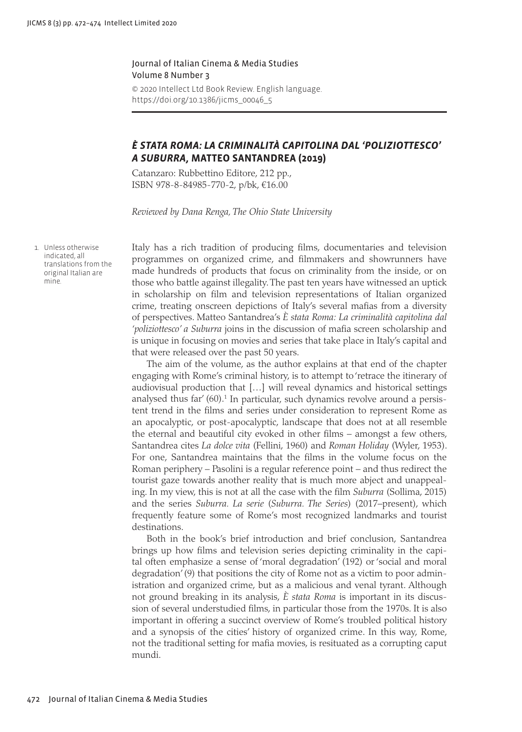## Journal of Italian Cinema & Media Studies Volume 8 Number 3

© 2020 Intellect Ltd Book Review. English language. [https://doi.org/10.1386/jicms\\_00046\\_5](https://doi.org/10.1386/jicms_00047_5)

## <span id="page-0-1"></span>*È STATA ROMA: LA CRIMINALITÀ CAPITOLINA DAL 'POLIZIOTTESCO' A SUBURRA***, MATTEO SANTANDREA (2019)**

Catanzaro: Rubbettino Editore, 212 pp., ISBN 978-8-84985-770-2, p/bk, €16.00

*Reviewed by Dana Renga, The Ohio State University*

<span id="page-0-0"></span>1. Unless otherwise indicated, all translations from the original Italian are mine.

Italy has a rich tradition of producing films, documentaries and television programmes on organized crime, and filmmakers and showrunners have made hundreds of products that focus on criminality from the inside, or on those who battle against illegality. The past ten years have witnessed an uptick in scholarship on film and television representations of Italian organized crime, treating onscreen depictions of Italy's several mafias from a diversity of perspectives. Matteo Santandrea's *È stata Roma: La criminalità capitolina dal 'poliziottesco' a Suburra* joins in the discussion of mafia screen scholarship and is unique in focusing on movies and series that take place in Italy's capital and that were released over the past 50 years.

The aim of the volume, as the author explains at that end of the chapter engaging with Rome's criminal history, is to attempt to 'retrace the itinerary of audiovisual production that […] will reveal dynamics and historical settings analysed thus far' (60).<sup>[1](#page-0-0)</sup> In particular, such dynamics revolve around a persistent trend in the films and series under consideration to represent Rome as an apocalyptic, or post-apocalyptic, landscape that does not at all resemble the eternal and beautiful city evoked in other films – amongst a few others, Santandrea cites *La dolce vita* (Fellini, 1960) and *Roman Holiday* (Wyler, 1953). For one, Santandrea maintains that the films in the volume focus on the Roman periphery – Pasolini is a regular reference point – and thus redirect the tourist gaze towards another reality that is much more abject and unappealing. In my view, this is not at all the case with the film *Suburra* (Sollima, 2015) and the series *Suburra. La serie* (*Suburra. The Series*) (2017–present), which frequently feature some of Rome's most recognized landmarks and tourist destinations.

Both in the book's brief introduction and brief conclusion, Santandrea brings up how films and television series depicting criminality in the capital often emphasize a sense of 'moral degradation' (192) or 'social and moral degradation' (9) that positions the city of Rome not as a victim to poor administration and organized crime, but as a malicious and venal tyrant. Although not ground breaking in its analysis, *È stata Roma* is important in its discussion of several understudied films, in particular those from the 1970s. It is also important in offering a succinct overview of Rome's troubled political history and a synopsis of the cities' history of organized crime. In this way, Rome, not the traditional setting for mafia movies, is resituated as a corrupting caput mundi.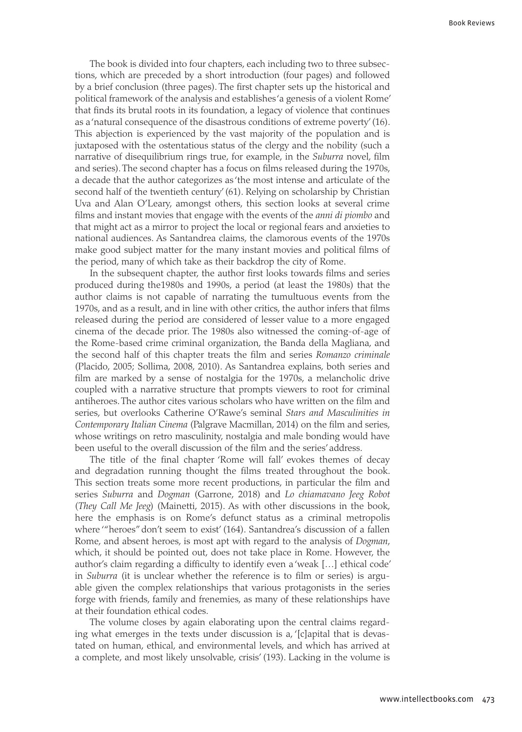The book is divided into four chapters, each including two to three subsections, which are preceded by a short introduction (four pages) and followed by a brief conclusion (three pages). The first chapter sets up the historical and political framework of the analysis and establishes 'a genesis of a violent Rome' that finds its brutal roots in its foundation, a legacy of violence that continues as a 'natural consequence of the disastrous conditions of extreme poverty' (16). This abjection is experienced by the vast majority of the population and is juxtaposed with the ostentatious status of the clergy and the nobility (such a narrative of disequilibrium rings true, for example, in the *Suburra* novel, film and series). The second chapter has a focus on films released during the 1970s, a decade that the author categorizes as 'the most intense and articulate of the second half of the twentieth century' (61). Relying on scholarship by Christian Uva and Alan O'Leary, amongst others, this section looks at several crime films and instant movies that engage with the events of the *anni di piombo* and that might act as a mirror to project the local or regional fears and anxieties to national audiences. As Santandrea claims, the clamorous events of the 1970s make good subject matter for the many instant movies and political films of the period, many of which take as their backdrop the city of Rome.

In the subsequent chapter, the author first looks towards films and series produced during the1980s and 1990s, a period (at least the 1980s) that the author claims is not capable of narrating the tumultuous events from the 1970s, and as a result, and in line with other critics, the author infers that films released during the period are considered of lesser value to a more engaged cinema of the decade prior. The 1980s also witnessed the coming-of-age of the Rome-based crime criminal organization, the Banda della Magliana, and the second half of this chapter treats the film and series *Romanzo criminale* (Placido, 2005; Sollima, 2008, 2010). As Santandrea explains, both series and film are marked by a sense of nostalgia for the 1970s, a melancholic drive coupled with a narrative structure that prompts viewers to root for criminal antiheroes. The author cites various scholars who have written on the film and series, but overlooks Catherine O'Rawe's seminal *Stars and Masculinities in Contemporary Italian Cinema* (Palgrave Macmillan, 2014) on the film and series, whose writings on retro masculinity, nostalgia and male bonding would have been useful to the overall discussion of the film and the series' address.

The title of the final chapter 'Rome will fall' evokes themes of decay and degradation running thought the films treated throughout the book. This section treats some more recent productions, in particular the film and series *Suburra* and *Dogman* (Garrone, 2018) and *Lo chiamavano Jeeg Robot* (*They Call Me Jeeg*) (Mainetti, 2015). As with other discussions in the book, here the emphasis is on Rome's defunct status as a criminal metropolis where '"heroes" don't seem to exist' (164). Santandrea's discussion of a fallen Rome, and absent heroes, is most apt with regard to the analysis of *Dogman*, which, it should be pointed out, does not take place in Rome. However, the author's claim regarding a difficulty to identify even a 'weak […] ethical code' in *Suburra* (it is unclear whether the reference is to film or series) is arguable given the complex relationships that various protagonists in the series forge with friends, family and frenemies, as many of these relationships have at their foundation ethical codes.

The volume closes by again elaborating upon the central claims regarding what emerges in the texts under discussion is a, '[c]apital that is devastated on human, ethical, and environmental levels, and which has arrived at a complete, and most likely unsolvable, crisis' (193). Lacking in the volume is